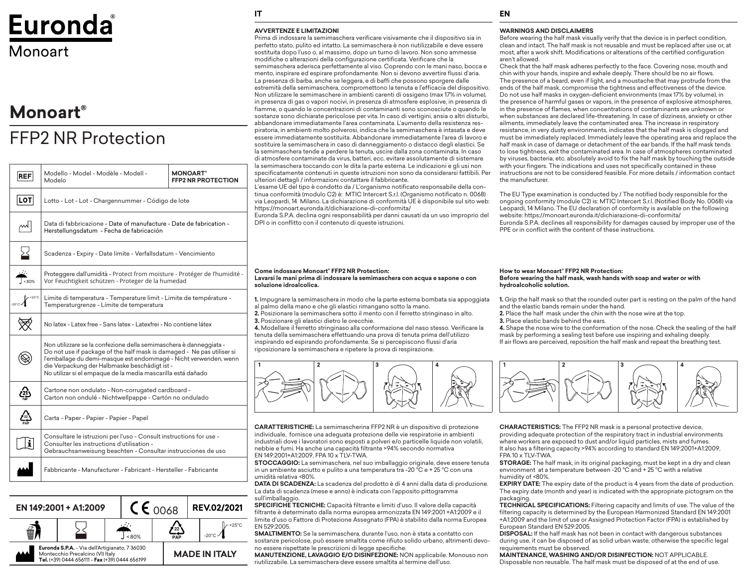# Euronda Monoart

# **Monoart®**

# FFP2 NR Protection

| <b>REF</b>                            | Modello - Model - Modèle - Modell -<br>Modelo                                                                                                                                                                                                                                                                                     | <b>MONOART</b> *<br><b>FFP2 NR PROTECTION</b> |
|---------------------------------------|-----------------------------------------------------------------------------------------------------------------------------------------------------------------------------------------------------------------------------------------------------------------------------------------------------------------------------------|-----------------------------------------------|
| $ \texttt{LOT} $                      | Lotto - Lot - Lot - Chargennummer - Código de lote                                                                                                                                                                                                                                                                                |                                               |
| ∼                                     | Data di fabbricazione - Date of manufacture - Date de fabrication -<br>Herstellungsdatum - Fecha de fabricación                                                                                                                                                                                                                   |                                               |
| 심                                     | Scadenza - Expiry - Date limite - Verfallsdatum - Vencimiento                                                                                                                                                                                                                                                                     |                                               |
| $\Delta\omega$<br>$\frac{1}{1}$ < 80% | Proteggere dall'umidità - Protect from moisture - Protéger de l'humidité -<br>Vor Feuchtigkeit schützen - Proteger de la humedad                                                                                                                                                                                                  |                                               |
|                                       | Limite di temperatura - Temperature limit - Limite de température -<br>Temperaturgrenze - Límite de temperatura                                                                                                                                                                                                                   |                                               |
|                                       | No latex - Latex free - Sans latex - Latexfrei - No contiene látex                                                                                                                                                                                                                                                                |                                               |
|                                       | Non utilizzare se la confezione della semimaschera è danneggiata -<br>Do not use if package of the half mask is damaged - Ne pas utiliser si<br>l'emballage du demi-masque est endommagé - Nicht verwenden, wenn<br>die Verpackung der Halbmaske beschädigt ist -<br>No utilizar si el empaque de la media mascarilla está dañado |                                               |
| $\mathcal{L}$                         | Cartone non ondulato - Non-corrugated cardboard -<br>Carton non ondulé - Nichtwellpappe - Cartón no ondulado                                                                                                                                                                                                                      |                                               |
| 1 <sub>22</sub><br>PAP                | Carta - Paper - Papier - Papier - Papel                                                                                                                                                                                                                                                                                           |                                               |
| i                                     | Consultare le istruzioni per l'uso - Consult instructions for use -<br>Consulter les instructions d'utilisation -<br>Gebrauchsanweisung beachten - Consultar instrucciones de uso                                                                                                                                                 |                                               |
|                                       | Fabbricante - Manufacturer - Fabricant - Hersteller - Fabricante                                                                                                                                                                                                                                                                  |                                               |
|                                       |                                                                                                                                                                                                                                                                                                                                   |                                               |



# **IT EN**

## **AVVERTENZE E LIMITAZIONI**

Prima di indossare la semimaschera verificare visivamente che il dispositivo sia in perfetto stato, pulito ed intatto. La semimaschera è non riutilizzabile e deve essere sostituita dopo l'uso o, al massimo, dopo un turno di lavoro. Non sono ammesse modifiche o alterazioni della configurazione certificata. Verificare che la semimaschera aderisca perfettamente al viso. Coprendo con le mani naso, bocca e mento, inspirare ed espirare profondamente. Non si devono avvertire flussi d'aria. La presenza di barba, anche se leggera, e di baffi che possono sporgere dalle estremità della semimaschera, compromettono la tenuta e l'efficacia del dispositivo. Non utilizzare le semimaschere in ambienti carenti di ossigeno (max 17% in volume), in presenza di gas o vapori nocivi, in presenza di atmosfere esplosive, in presenza di fiamme, o quando le concentrazioni di contaminanti sono sconosciute o quando le sostanze sono dichiarate pericolose per vita. In caso di vertigini, ansia o altri disturbi, abbandonare immediatamente l'area contaminata. L'aumento della resistenza respiratoria, in ambienti molto polverosi, indica che la semimaschera è intasata e deve essere immediatamente sostituita. Abbandonare immediatamente l'area di lavoro e sostituire la semimaschera in caso di danneggiamento o distacco degli elastici. Se la semimaschera tende a perdere la tenuta, uscire dalla zona contaminata. In caso di atmosfere contaminate da virus, batteri, ecc. evitare assolutamente di sistemare la semimaschera toccando con le dita la parte esterna. Le indicazioni e gli usi non specificatamente contenuti in queste istruzioni non sono da considerarsi fattibili. Per ulteriori dettagli / informazioni contattare il fabbricante.

L'esame UE del tipo è condotto da / L'organismo notificato responsabile della continua conformità (modulo C2) è: MTIC Intercert S.r.l. (Organismo notificato n. 0068) via Leopardi, 14 Milano. La dichiarazione di conformità UE è disponibile sul sito web: https://monoart.euronda.it/dichiarazione-di-conformita/

Euronda S.P.A. declina ogni responsabilità per danni causati da un uso improprio del DPI o in conflitto con il contenuto di queste istruzioni.

## **WARNINGS AND DISCLAIMERS**

Before wearing the half mask visually verify that the device is in perfect condition, clean and intact. The half mask is not reusable and must be replaced after use or, at most, after a work shift. Modifications or alterations of the certified configuration aren't allowed.

Check that the half mask adheres perfectly to the face. Covering nose, mouth and chin with your hands, inspire and exhale deeply. There should be no air flows. The presence of a beard, even if light, and a moustache that may protrude from the ends of the half mask, compromise the tightness and effectiveness of the device. Do not use half masks in oxygen-deficient environments (max 17% by volume), in the presence of harmful gases or vapors, in the presence of explosive atmospheres, in the presence of flames, when concentrations of contaminants are unknown or when substances are declared life-threatening. In case of dizziness, anxiety or other ailments, immediately leave the contaminated area. The increase in respiratory resistance, in very dusty environments, indicates that the half mask is clogged and must be immediately replaced. Immediately leave the operating area and replace the half mask in case of damage or detachment of the ear bands. If the half mask tends to lose tightness, exit the contaminated area. In case of atmospheres contaminated by viruses, bacteria, etc. absolutely avoid to fix the half mask by touching the outside with your fingers. The indications and uses not specifically contained in these instructions are not to be considered feasible. For more details / information contact the manufacturer.

The EU Type examination is conducted by / The notified body responsible for the ongoing conformity (module C2) is: MTIC Intercert S.r.l. (Notified Body No. 0068) via Leopardi, 14 Milano. The EU declaration of conformity is available on the following website: https://monoart.euronda.it/dichiarazione-di-conformita/ Euronda S.P.A. declines all responsibility for damages caused by improper use of the PPE or in conflict with the content of these instructions.

## **Come indossare Monoart® FFP2 NR Protection: Lavarsi le mani prima di indossare la semimaschera con acqua e sapone o con soluzione idroalcolica.**

**1.** Impugnare la semimaschera in modo che la parte esterna bombata sia appoggiata al palmo della mano e che gli elastici rimangano sotto la mano.

**2.** Posizionare la semimaschera sotto il mento con il ferretto stringinaso in alto. **3.** Posizionare gli elastici dietro le orecchie.

**4.** Modellare il ferretto stringinaso alla conformazione del naso stesso. Verificare la tenuta della semimaschera effettuando una prova di tenuta prima dell'utilizzo inspirando ed espirando profondamente. Se si percepiscono flussi d'aria riposizionare la semimaschera e ripetere la prova di respirazione.



**CARATTERISTICHE:** La semimascherina FFP2 NR è un dispositivo di protezione individuale, fornisce una adeguata protezione delle vie respiratorie in ambienti industriali dove i lavoratori sono esposti a polveri e/o particelle liquide non volatili, nebbie e fumi. Ha anche una capacità filtrante >94% secondo normativa EN 149:2001+A1:2009, FPA 10 x TLV-TWA.

**STOCCAGGIO:** La semimaschera, nel suo imballaggio originale, deve essere tenuta in un ambiente asciutto e pulito a una temperatura tra -20 °C e + 25 °C con una umidità relativa <80%.

**DATA DI SCADENZA:** La scadenza del prodotto è di 4 anni dalla data di produzione. La data di scadenza (mese e anno) è indicata con l'apposito pittogramma sull'imballaggio.

**SPECIFICHE TECNICHE:** Capacità filtrante e limiti d'uso. Il valore della capacità filtrante è determinato dalla norma europea armonizzata EN 149:2001 +A1:2009 e il limite d'uso o Fattore di Protezione Assegnato (FPA) è stabilito dalla norma Europea EN 529:2005.

**SMALTIMENTO:** Se la semimaschera, durante l'uso, non è stata a contatto con sostanze pericolose, può essere smaltita come rifiuto solido urbano, altrimenti devono essere rispettate le prescrizioni di legge specifiche.

**MANUTENZIONE, LAVAGGIO E/O DISINFEZIONE:** NON applicabile. Monouso non riutilizzabile. La semimaschera deve essere smaltita al termine dell'uso.

### **How to wear Monoart® FFP2 NR Protection: Before wearing the half mask, wash hands with soap and water or with hydroalcoholic solution.**

**1.** Grip the half mask so that the rounded outer part is resting on the palm of the hand and the elastic bands remain under the hand.

**2.** Place the half mask under the chin with the nose wire at the top.

**3.** Place elastic bands behind the ears.

**4.** Shape the nose wire to the conformation of the nose. Check the sealing of the half mask by performing a sealing test before use inspiring and exhaling deeply. If air flows are perceived, reposition the half mask and repeat the breathing test.



**CHARACTERISTICS:** The FFP2 NR mask is a personal protective device, providing adequate protection of the respiratory tract in industrial environments where workers are exposed to dust and/or liquid particles, mists and fumes. It also has a filtering capacity >94% according to standard EN 149:2001+A1:2009, FPA 10 x TLV-TWA.

**STORAGE:** The half mask, in its original packaging, must be kept in a dry and clean environment at a temperature between -20 °C and + 25 °C with a relative humidity of <80%.

**EXPIRY DATE:** The expiry date of the product is 4 years from the date of production. The expiry date (month and year) is indicated with the appropriate pictogram on the packaging.

**TECHNICAL SPECIFICATIONS:** Filtering capacity and limits of use. The value of the filtering capacity is determined by the European Harmonized Standard EN 149:2001 +A1:2009 and the limit of use or Assigned Protection Factor (FPA) is established by European Standard EN 529:2005.

**DISPOSAL:** If the half mask has not been in contact with dangerous substances during use, it can be disposed of as solid urban waste, otherwise the specific legal requirements must be observed.

**MAINTENANCE, WASHING AND/OR DISINFECTION:** NOT APPLICABLE. Disposable non reusable. The half mask must be disposed of at the end of use.